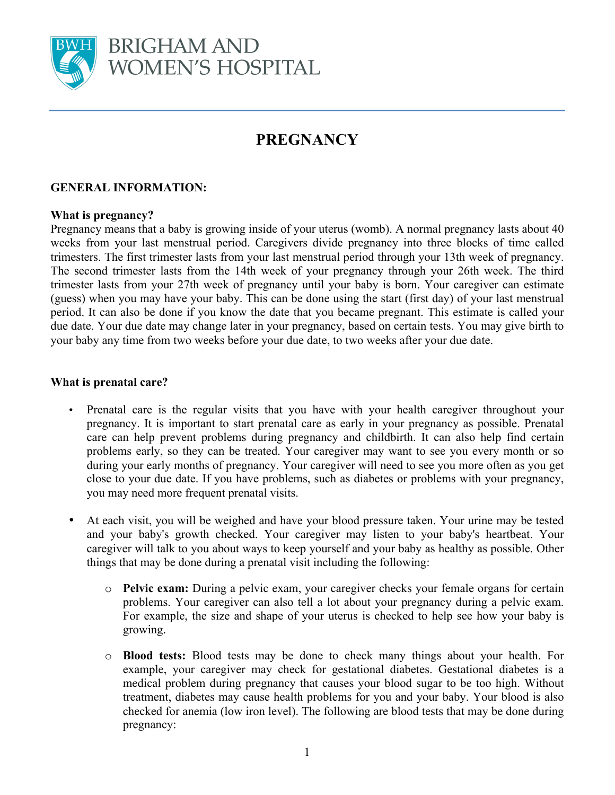

# **PREGNANCY**

## **GENERAL INFORMATION:**

### **What is pregnancy?**

Pregnancy means that a baby is growing inside of your uterus (womb). A normal pregnancy lasts about 40 weeks from your last menstrual period. Caregivers divide pregnancy into three blocks of time called trimesters. The first trimester lasts from your last menstrual period through your 13th week of pregnancy. The second trimester lasts from the 14th week of your pregnancy through your 26th week. The third trimester lasts from your 27th week of pregnancy until your baby is born. Your caregiver can estimate (guess) when you may have your baby. This can be done using the start (first day) of your last menstrual period. It can also be done if you know the date that you became pregnant. This estimate is called your due date. Your due date may change later in your pregnancy, based on certain tests. You may give birth to your baby any time from two weeks before your due date, to two weeks after your due date.

### **What is prenatal care?**

- Prenatal care is the regular visits that you have with your health caregiver throughout your pregnancy. It is important to start prenatal care as early in your pregnancy as possible. Prenatal care can help prevent problems during pregnancy and childbirth. It can also help find certain problems early, so they can be treated. Your caregiver may want to see you every month or so during your early months of pregnancy. Your caregiver will need to see you more often as you get close to your due date. If you have problems, such as diabetes or problems with your pregnancy, you may need more frequent prenatal visits.
- At each visit, you will be weighed and have your blood pressure taken. Your urine may be tested and your baby's growth checked. Your caregiver may listen to your baby's heartbeat. Your caregiver will talk to you about ways to keep yourself and your baby as healthy as possible. Other things that may be done during a prenatal visit including the following:
	- o **Pelvic exam:** During a pelvic exam, your caregiver checks your female organs for certain problems. Your caregiver can also tell a lot about your pregnancy during a pelvic exam. For example, the size and shape of your uterus is checked to help see how your baby is growing.
	- o **Blood tests:** Blood tests may be done to check many things about your health. For example, your caregiver may check for gestational diabetes. Gestational diabetes is a medical problem during pregnancy that causes your blood sugar to be too high. Without treatment, diabetes may cause health problems for you and your baby. Your blood is also checked for anemia (low iron level). The following are blood tests that may be done during pregnancy: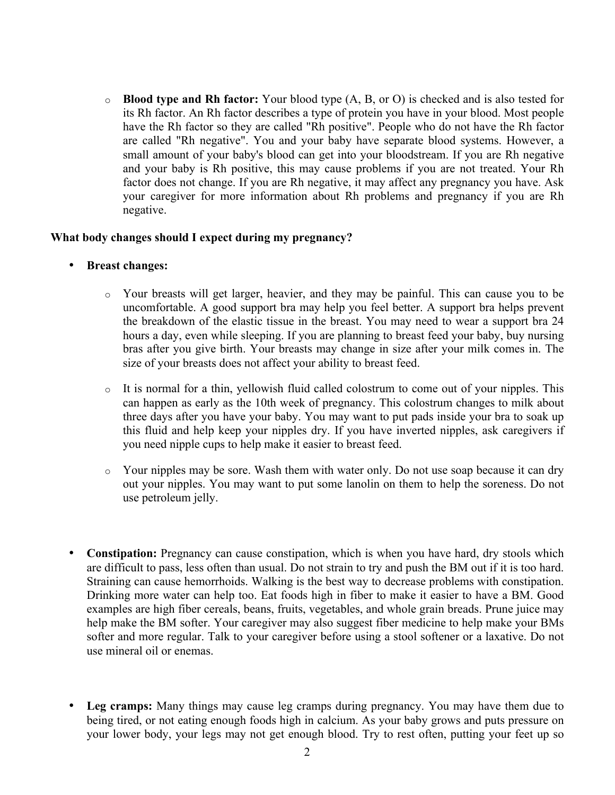o **Blood type and Rh factor:** Your blood type (A, B, or O) is checked and is also tested for its Rh factor. An Rh factor describes a type of protein you have in your blood. Most people have the Rh factor so they are called "Rh positive". People who do not have the Rh factor are called "Rh negative". You and your baby have separate blood systems. However, a small amount of your baby's blood can get into your bloodstream. If you are Rh negative and your baby is Rh positive, this may cause problems if you are not treated. Your Rh factor does not change. If you are Rh negative, it may affect any pregnancy you have. Ask your caregiver for more information about Rh problems and pregnancy if you are Rh negative.

#### **What body changes should I expect during my pregnancy?**

- **Breast changes:**
	- o Your breasts will get larger, heavier, and they may be painful. This can cause you to be uncomfortable. A good support bra may help you feel better. A support bra helps prevent the breakdown of the elastic tissue in the breast. You may need to wear a support bra 24 hours a day, even while sleeping. If you are planning to breast feed your baby, buy nursing bras after you give birth. Your breasts may change in size after your milk comes in. The size of your breasts does not affect your ability to breast feed.
	- $\circ$  It is normal for a thin, yellowish fluid called colostrum to come out of your nipples. This can happen as early as the 10th week of pregnancy. This colostrum changes to milk about three days after you have your baby. You may want to put pads inside your bra to soak up this fluid and help keep your nipples dry. If you have inverted nipples, ask caregivers if you need nipple cups to help make it easier to breast feed.
	- $\circ$  Your nipples may be sore. Wash them with water only. Do not use soap because it can dry out your nipples. You may want to put some lanolin on them to help the soreness. Do not use petroleum jelly.
- **Constipation:** Pregnancy can cause constipation, which is when you have hard, dry stools which are difficult to pass, less often than usual. Do not strain to try and push the BM out if it is too hard. Straining can cause hemorrhoids. Walking is the best way to decrease problems with constipation. Drinking more water can help too. Eat foods high in fiber to make it easier to have a BM. Good examples are high fiber cereals, beans, fruits, vegetables, and whole grain breads. Prune juice may help make the BM softer. Your caregiver may also suggest fiber medicine to help make your BMs softer and more regular. Talk to your caregiver before using a stool softener or a laxative. Do not use mineral oil or enemas.
- **Leg cramps:** Many things may cause leg cramps during pregnancy. You may have them due to being tired, or not eating enough foods high in calcium. As your baby grows and puts pressure on your lower body, your legs may not get enough blood. Try to rest often, putting your feet up so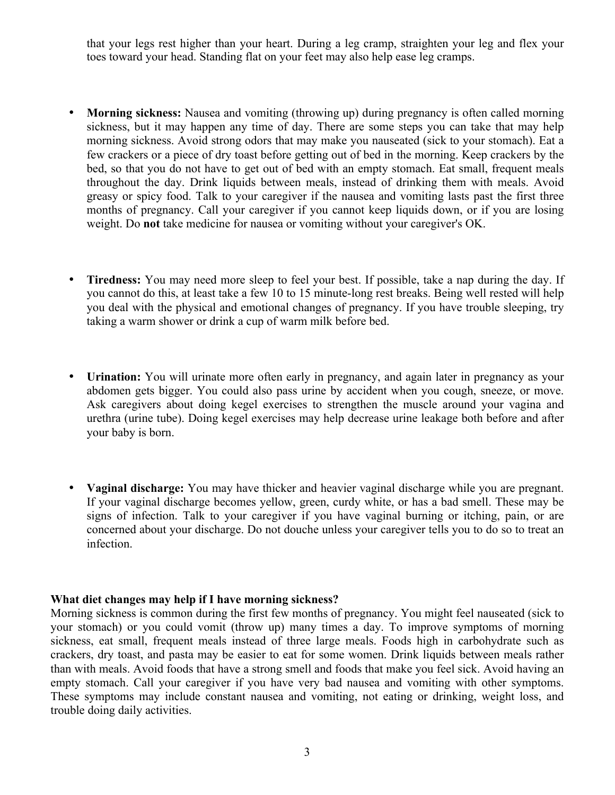that your legs rest higher than your heart. During a leg cramp, straighten your leg and flex your toes toward your head. Standing flat on your feet may also help ease leg cramps.

- **Morning sickness:** Nausea and vomiting (throwing up) during pregnancy is often called morning sickness, but it may happen any time of day. There are some steps you can take that may help morning sickness. Avoid strong odors that may make you nauseated (sick to your stomach). Eat a few crackers or a piece of dry toast before getting out of bed in the morning. Keep crackers by the bed, so that you do not have to get out of bed with an empty stomach. Eat small, frequent meals throughout the day. Drink liquids between meals, instead of drinking them with meals. Avoid greasy or spicy food. Talk to your caregiver if the nausea and vomiting lasts past the first three months of pregnancy. Call your caregiver if you cannot keep liquids down, or if you are losing weight. Do **not** take medicine for nausea or vomiting without your caregiver's OK.
- **Tiredness:** You may need more sleep to feel your best. If possible, take a nap during the day. If you cannot do this, at least take a few 10 to 15 minute-long rest breaks. Being well rested will help you deal with the physical and emotional changes of pregnancy. If you have trouble sleeping, try taking a warm shower or drink a cup of warm milk before bed.
- **Urination:** You will urinate more often early in pregnancy, and again later in pregnancy as your abdomen gets bigger. You could also pass urine by accident when you cough, sneeze, or move. Ask caregivers about doing kegel exercises to strengthen the muscle around your vagina and urethra (urine tube). Doing kegel exercises may help decrease urine leakage both before and after your baby is born.
- **Vaginal discharge:** You may have thicker and heavier vaginal discharge while you are pregnant. If your vaginal discharge becomes yellow, green, curdy white, or has a bad smell. These may be signs of infection. Talk to your caregiver if you have vaginal burning or itching, pain, or are concerned about your discharge. Do not douche unless your caregiver tells you to do so to treat an infection.

#### **What diet changes may help if I have morning sickness?**

Morning sickness is common during the first few months of pregnancy. You might feel nauseated (sick to your stomach) or you could vomit (throw up) many times a day. To improve symptoms of morning sickness, eat small, frequent meals instead of three large meals. Foods high in carbohydrate such as crackers, dry toast, and pasta may be easier to eat for some women. Drink liquids between meals rather than with meals. Avoid foods that have a strong smell and foods that make you feel sick. Avoid having an empty stomach. Call your caregiver if you have very bad nausea and vomiting with other symptoms. These symptoms may include constant nausea and vomiting, not eating or drinking, weight loss, and trouble doing daily activities.